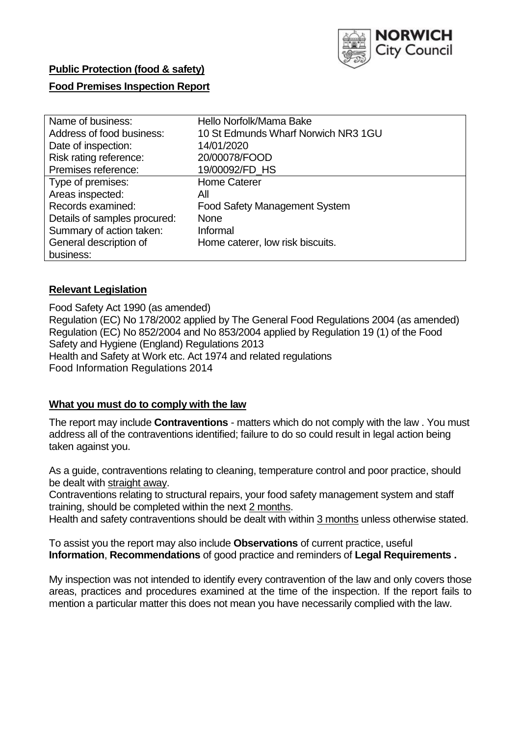

# **Public Protection (food & safety)**

# **Food Premises Inspection Report**

| Name of business:            | Hello Norfolk/Mama Bake              |
|------------------------------|--------------------------------------|
|                              |                                      |
| Address of food business:    | 10 St Edmunds Wharf Norwich NR3 1GU  |
| Date of inspection:          | 14/01/2020                           |
| Risk rating reference:       | 20/00078/FOOD                        |
| Premises reference:          | 19/00092/FD_HS                       |
| Type of premises:            | <b>Home Caterer</b>                  |
| Areas inspected:             | All                                  |
| Records examined:            | <b>Food Safety Management System</b> |
| Details of samples procured: | <b>None</b>                          |
| Summary of action taken:     | Informal                             |
| General description of       | Home caterer, low risk biscuits.     |
| business:                    |                                      |

# **Relevant Legislation**

Food Safety Act 1990 (as amended) Regulation (EC) No 178/2002 applied by The General Food Regulations 2004 (as amended) Regulation (EC) No 852/2004 and No 853/2004 applied by Regulation 19 (1) of the Food Safety and Hygiene (England) Regulations 2013 Health and Safety at Work etc. Act 1974 and related regulations Food Information Regulations 2014

# **What you must do to comply with the law**

The report may include **Contraventions** - matters which do not comply with the law . You must address all of the contraventions identified; failure to do so could result in legal action being taken against you.

As a guide, contraventions relating to cleaning, temperature control and poor practice, should be dealt with straight away.

Contraventions relating to structural repairs, your food safety management system and staff training, should be completed within the next 2 months.

Health and safety contraventions should be dealt with within 3 months unless otherwise stated.

To assist you the report may also include **Observations** of current practice, useful **Information**, **Recommendations** of good practice and reminders of **Legal Requirements .**

My inspection was not intended to identify every contravention of the law and only covers those areas, practices and procedures examined at the time of the inspection. If the report fails to mention a particular matter this does not mean you have necessarily complied with the law.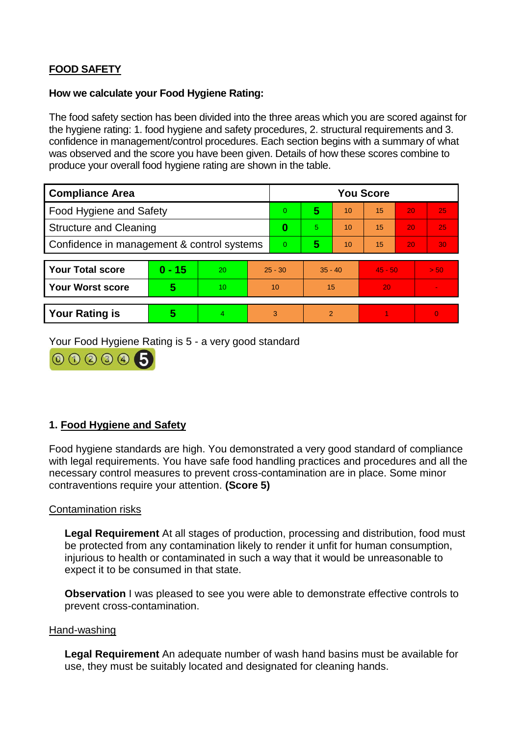# **FOOD SAFETY**

### **How we calculate your Food Hygiene Rating:**

The food safety section has been divided into the three areas which you are scored against for the hygiene rating: 1. food hygiene and safety procedures, 2. structural requirements and 3. confidence in management/control procedures. Each section begins with a summary of what was observed and the score you have been given. Details of how these scores combine to produce your overall food hygiene rating are shown in the table.

| <b>Compliance Area</b>                     |          |    |                | <b>You Score</b> |                |    |           |    |          |  |  |
|--------------------------------------------|----------|----|----------------|------------------|----------------|----|-----------|----|----------|--|--|
| Food Hygiene and Safety                    |          |    |                | $\Omega$         | 5              | 10 | 15        | 20 | 25       |  |  |
| <b>Structure and Cleaning</b>              |          |    | $\bf{0}$       | 5                | 10             | 15 | 20        | 25 |          |  |  |
| Confidence in management & control systems |          |    | $\overline{0}$ | 5                | 10             | 15 | 20        | 30 |          |  |  |
|                                            |          |    |                |                  |                |    |           |    |          |  |  |
| <b>Your Total score</b>                    | $0 - 15$ | 20 |                | $25 - 30$        | $35 - 40$      |    | $45 - 50$ |    | > 50     |  |  |
| <b>Your Worst score</b>                    | 5        | 10 | 10             |                  | 15             |    | 20        |    |          |  |  |
|                                            |          |    |                |                  |                |    |           |    |          |  |  |
| <b>Your Rating is</b>                      | 5        |    | 3              |                  | $\overline{2}$ |    |           |    | $\Omega$ |  |  |

Your Food Hygiene Rating is 5 - a very good standard



# **1. Food Hygiene and Safety**

Food hygiene standards are high. You demonstrated a very good standard of compliance with legal requirements. You have safe food handling practices and procedures and all the necessary control measures to prevent cross-contamination are in place. Some minor contraventions require your attention. **(Score 5)**

# Contamination risks

**Legal Requirement** At all stages of production, processing and distribution, food must be protected from any contamination likely to render it unfit for human consumption, injurious to health or contaminated in such a way that it would be unreasonable to expect it to be consumed in that state.

**Observation** I was pleased to see you were able to demonstrate effective controls to prevent cross-contamination.

### Hand-washing

**Legal Requirement** An adequate number of wash hand basins must be available for use, they must be suitably located and designated for cleaning hands.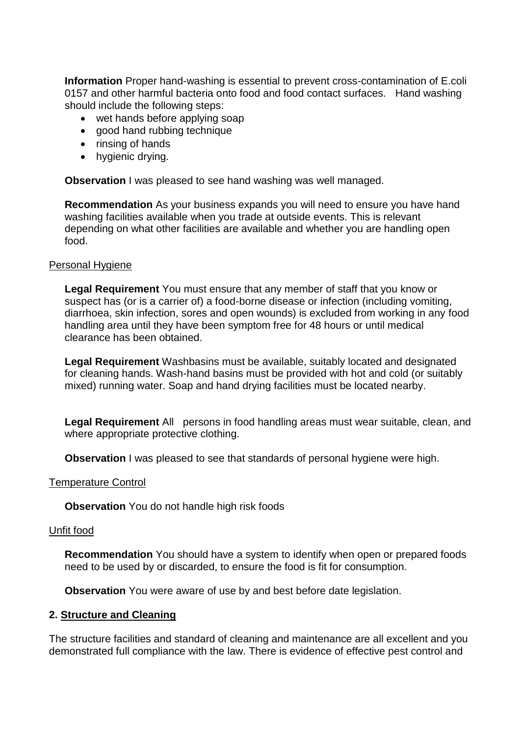**Information** Proper hand-washing is essential to prevent cross-contamination of E.coli 0157 and other harmful bacteria onto food and food contact surfaces. Hand washing should include the following steps:

- wet hands before applying soap
- good hand rubbing technique
- $\bullet$  rinsing of hands
- hygienic drying.

**Observation** I was pleased to see hand washing was well managed.

**Recommendation** As your business expands you will need to ensure you have hand washing facilities available when you trade at outside events. This is relevant depending on what other facilities are available and whether you are handling open food.

#### Personal Hygiene

**Legal Requirement** You must ensure that any member of staff that you know or suspect has (or is a carrier of) a food-borne disease or infection (including vomiting, diarrhoea, skin infection, sores and open wounds) is excluded from working in any food handling area until they have been symptom free for 48 hours or until medical clearance has been obtained.

**Legal Requirement** Washbasins must be available, suitably located and designated for cleaning hands. Wash-hand basins must be provided with hot and cold (or suitably mixed) running water. Soap and hand drying facilities must be located nearby.

**Legal Requirement** All persons in food handling areas must wear suitable, clean, and where appropriate protective clothing.

**Observation** I was pleased to see that standards of personal hygiene were high.

#### Temperature Control

**Observation** You do not handle high risk foods

#### Unfit food

**Recommendation** You should have a system to identify when open or prepared foods need to be used by or discarded, to ensure the food is fit for consumption.

**Observation** You were aware of use by and best before date legislation.

#### **2. Structure and Cleaning**

The structure facilities and standard of cleaning and maintenance are all excellent and you demonstrated full compliance with the law. There is evidence of effective pest control and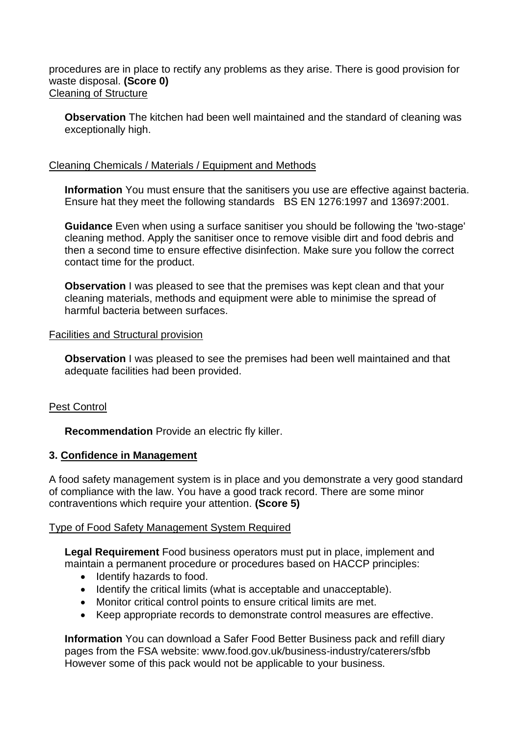procedures are in place to rectify any problems as they arise. There is good provision for waste disposal. **(Score 0)** Cleaning of Structure

**Observation** The kitchen had been well maintained and the standard of cleaning was exceptionally high.

# Cleaning Chemicals / Materials / Equipment and Methods

**Information** You must ensure that the sanitisers you use are effective against bacteria. Ensure hat they meet the following standards BS EN 1276:1997 and 13697:2001.

**Guidance** Even when using a surface sanitiser you should be following the 'two-stage' cleaning method. Apply the sanitiser once to remove visible dirt and food debris and then a second time to ensure effective disinfection. Make sure you follow the correct contact time for the product.

**Observation** I was pleased to see that the premises was kept clean and that your cleaning materials, methods and equipment were able to minimise the spread of harmful bacteria between surfaces.

### Facilities and Structural provision

**Observation** I was pleased to see the premises had been well maintained and that adequate facilities had been provided.

### Pest Control

**Recommendation** Provide an electric fly killer.

### **3. Confidence in Management**

A food safety management system is in place and you demonstrate a very good standard of compliance with the law. You have a good track record. There are some minor contraventions which require your attention. **(Score 5)**

### Type of Food Safety Management System Required

**Legal Requirement** Food business operators must put in place, implement and maintain a permanent procedure or procedures based on HACCP principles:

- Identify hazards to food.
- Identify the critical limits (what is acceptable and unacceptable).
- Monitor critical control points to ensure critical limits are met.
- Keep appropriate records to demonstrate control measures are effective.

**Information** You can download a Safer Food Better Business pack and refill diary pages from the FSA website: www.food.gov.uk/business-industry/caterers/sfbb However some of this pack would not be applicable to your business.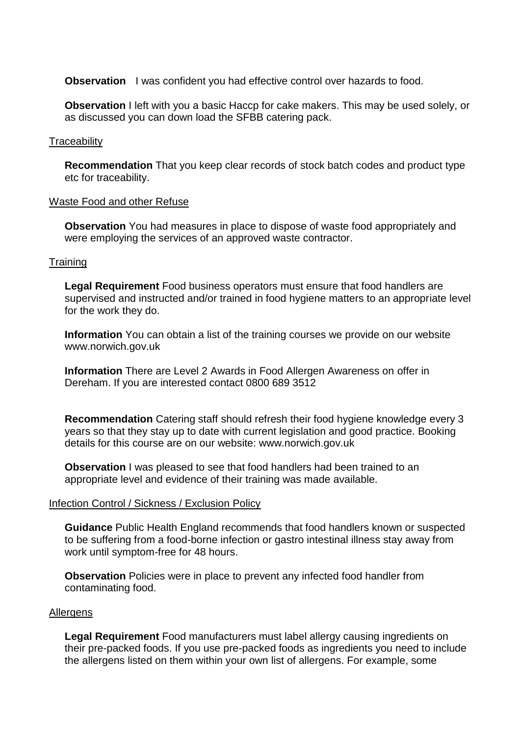**Observation** I was confident you had effective control over hazards to food.

**Observation** I left with you a basic Haccp for cake makers. This may be used solely, or as discussed you can down load the SFBB catering pack.

#### **Traceability**

**Recommendation** That you keep clear records of stock batch codes and product type etc for traceability.

#### Waste Food and other Refuse

**Observation** You had measures in place to dispose of waste food appropriately and were employing the services of an approved waste contractor.

#### **Training**

**Legal Requirement** Food business operators must ensure that food handlers are supervised and instructed and/or trained in food hygiene matters to an appropriate level for the work they do.

**Information** You can obtain a list of the training courses we provide on our website www.norwich.gov.uk

**Information** There are Level 2 Awards in Food Allergen Awareness on offer in Dereham. If you are interested contact 0800 689 3512

**Recommendation** Catering staff should refresh their food hygiene knowledge every 3 years so that they stay up to date with current legislation and good practice. Booking details for this course are on our website: www.norwich.gov.uk

**Observation** I was pleased to see that food handlers had been trained to an appropriate level and evidence of their training was made available.

#### Infection Control / Sickness / Exclusion Policy

**Guidance** Public Health England recommends that food handlers known or suspected to be suffering from a food-borne infection or gastro intestinal illness stay away from work until symptom-free for 48 hours.

**Observation** Policies were in place to prevent any infected food handler from contaminating food.

#### Allergens

**Legal Requirement** Food manufacturers must label allergy causing ingredients on their pre-packed foods. If you use pre-packed foods as ingredients you need to include the allergens listed on them within your own list of allergens. For example, some